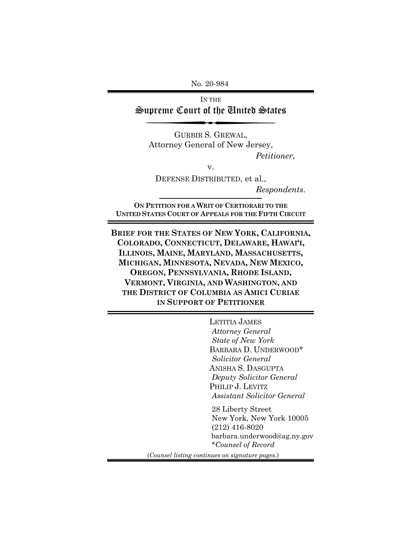No. 20-984

IN THE Supreme Court of the United States

GURBIR S. GREWAL, Attorney General of New Jersey, *Petitioner*,

v.

DEFENSE DISTRIBUTED, et al., *Respondents*.

**ON PETITION FOR A WRIT OF CERTIORARI TO THE UNITED STATES COURT OF APPEALS FOR THE FIFTH CIRCUIT**

**BRIEF FOR THE STATES OF NEW YORK, CALIFORNIA, COLORADO, CONNECTICUT, DELAWARE, HAWAI'I, ILLINOIS, MAINE, MARYLAND, MASSACHUSETTS, MICHIGAN, MINNESOTA, NEVADA, NEW MEXICO, OREGON, PENNSYLVANIA, RHODE ISLAND, VERMONT, VIRGINIA, AND WASHINGTON, AND THE DISTRICT OF COLUMBIA AS AMICI CURIAE IN SUPPORT OF PETITIONER** 

> LETITIA JAMES  *Attorney General State of New York* BARBARA D. UNDERWOOD\*  *Solicitor General* ANISHA S. DASGUPTA  *Deputy Solicitor General* PHILIP J. LEVITZ  *Assistant Solicitor General*

 28 Liberty Street New York, New York 10005 (212) 416-8020 barbara.underwood@ag.ny.gov \**Counsel of Record*

(*Counsel listing continues on signature pages.*)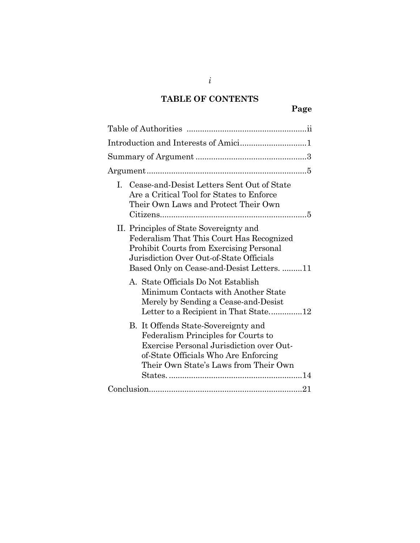# **TABLE OF CONTENTS**

| L. Cease-and-Desist Letters Sent Out of State<br>Are a Critical Tool for States to Enforce<br>Their Own Laws and Protect Their Own                                                                                                |
|-----------------------------------------------------------------------------------------------------------------------------------------------------------------------------------------------------------------------------------|
| II. Principles of State Sovereignty and<br>Federalism That This Court Has Recognized<br><b>Prohibit Courts from Exercising Personal</b><br>Jurisdiction Over Out-of-State Officials<br>Based Only on Cease-and-Desist Letters. 11 |
| A. State Officials Do Not Establish<br>Minimum Contacts with Another State<br>Merely by Sending a Cease-and-Desist                                                                                                                |
| B. It Offends State-Sovereignty and<br>Federalism Principles for Courts to<br>Exercise Personal Jurisdiction over Out-<br>of-State Officials Who Are Enforcing<br>Their Own State's Laws from Their Own                           |
|                                                                                                                                                                                                                                   |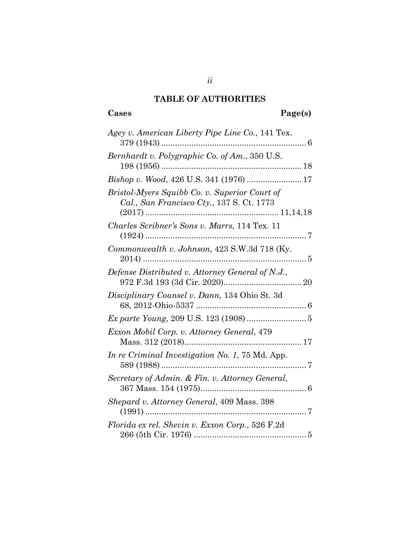# **TABLE OF AUTHORITIES**

# **Cases Page(s)**

| Agey v. American Liberty Pipe Line Co., 141 Tex.                                           |
|--------------------------------------------------------------------------------------------|
| Bernhardt v. Polygraphic Co. of Am., 350 U.S.                                              |
| Bishop v. Wood, 426 U.S. 341 (1976)  17                                                    |
| Bristol-Myers Squibb Co. v. Superior Court of<br>Cal., San Francisco Cty., 137 S. Ct. 1773 |
| Charles Scribner's Sons v. Marrs, 114 Tex. 11                                              |
| Commonwealth v. Johnson, 423 S.W.3d 718 (Ky.                                               |
| Defense Distributed v. Attorney General of N.J.,                                           |
| Disciplinary Counsel v. Dann, 134 Ohio St. 3d                                              |
|                                                                                            |
| Exxon Mobil Corp. v. Attorney General, 479                                                 |
| In re Criminal Investigation No. 1, 75 Md. App.                                            |
| Secretary of Admin. & Fin. v. Attorney General,                                            |
| <i>Shepard v. Attorney General, 409 Mass. 398</i>                                          |
| Florida ex rel. Shevin v. Exxon Corp., 526 F.2d                                            |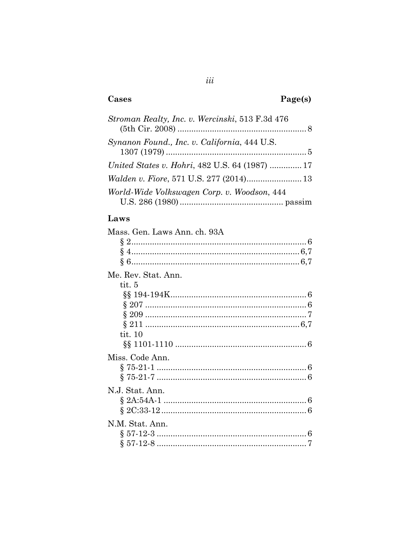## Cases

# Page(s)

| <i>Stroman Realty, Inc. v. Wercinski,</i> 513 F.3d 476 |  |
|--------------------------------------------------------|--|
| Synanon Found., Inc. v. California, 444 U.S.           |  |
| United States v. Hohri, 482 U.S. 64 (1987)  17         |  |
|                                                        |  |
| World-Wide Volkswagen Corp. v. Woodson, 444            |  |

## Laws

| Mass. Gen. Laws Ann. ch. 93A |   |
|------------------------------|---|
|                              |   |
| Ş                            |   |
|                              |   |
| Me. Rev. Stat. Ann.          |   |
| tit. 5                       |   |
|                              |   |
|                              |   |
|                              |   |
|                              |   |
| tit. $10$                    |   |
|                              |   |
| Miss. Code Ann.              |   |
|                              |   |
|                              |   |
|                              |   |
| N.J. Stat. Ann.              |   |
|                              |   |
|                              |   |
| N.M. Stat. Ann.              |   |
|                              | 6 |
|                              |   |
|                              |   |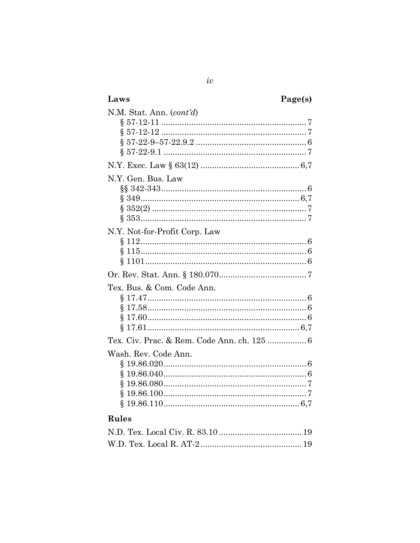| Laws                                        | Page(s) |
|---------------------------------------------|---------|
| N.M. Stat. Ann. (cont'd)                    |         |
|                                             |         |
|                                             |         |
|                                             |         |
|                                             |         |
|                                             |         |
| N.Y. Gen. Bus. Law                          |         |
|                                             |         |
|                                             |         |
|                                             |         |
|                                             |         |
| N.Y. Not-for-Profit Corp. Law               |         |
|                                             |         |
|                                             |         |
|                                             |         |
|                                             |         |
| Tex. Bus. & Com. Code Ann.                  |         |
|                                             |         |
|                                             |         |
|                                             |         |
|                                             |         |
| Tex. Civ. Prac. & Rem. Code Ann. ch. 125  6 |         |
| Wash. Rev. Code Ann.                        |         |
|                                             |         |
|                                             |         |
|                                             |         |
|                                             |         |
| Ş                                           |         |
| <b>Rules</b>                                |         |
|                                             |         |
|                                             |         |

 $iv$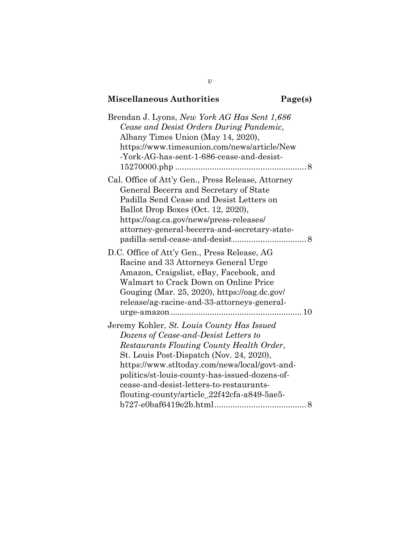# **Miscellaneous Authorities Page(s)**

| Brendan J. Lyons, New York AG Has Sent 1,686<br>Cease and Desist Orders During Pandemic,<br>Albany Times Union (May 14, 2020),<br>https://www.timesunion.com/news/article/New<br>-York-AG-has-sent-1-686-cease-and-desist-                                                                                                                                                 |
|----------------------------------------------------------------------------------------------------------------------------------------------------------------------------------------------------------------------------------------------------------------------------------------------------------------------------------------------------------------------------|
| Cal. Office of Att'y Gen., Press Release, Attorney<br>General Becerra and Secretary of State<br>Padilla Send Cease and Desist Letters on<br>Ballot Drop Boxes (Oct. 12, 2020),<br>https://oag.ca.gov/news/press-releases/<br>attorney-general-becerra-and-secretary-state-                                                                                                 |
| D.C. Office of Att'y Gen., Press Release, AG<br>Racine and 33 Attorneys General Urge<br>Amazon, Craigslist, eBay, Facebook, and<br>Walmart to Crack Down on Online Price<br>Gouging (Mar. 25, 2020), https://oag.dc.gov/<br>release/ag-racine-and-33-attorneys-general-                                                                                                    |
| Jeremy Kohler, St. Louis County Has Issued<br>Dozens of Cease-and-Desist Letters to<br>Restaurants Flouting County Health Order,<br>St. Louis Post-Dispatch (Nov. 24, 2020),<br>https://www.stltoday.com/news/local/govt-and-<br>politics/st-louis-county-has-issued-dozens-of-<br>cease-and-desist-letters-to-restaurants-<br>flouting-county/article_22f42cfa-a849-5ae5- |

*v*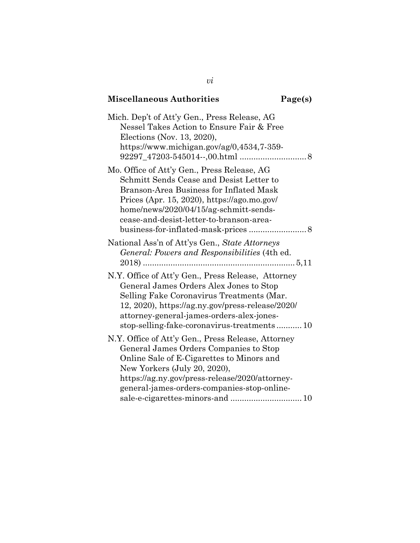| <b>Miscellaneous Authorities</b>                                                                                                                                                                                                                                                          | Page(s) |
|-------------------------------------------------------------------------------------------------------------------------------------------------------------------------------------------------------------------------------------------------------------------------------------------|---------|
| Mich. Dep't of Att'y Gen., Press Release, AG<br>Nessel Takes Action to Ensure Fair & Free<br>Elections (Nov. 13, 2020),<br>https://www.michigan.gov/ag/0,4534,7-359-                                                                                                                      |         |
| Mo. Office of Att'y Gen., Press Release, AG<br>Schmitt Sends Cease and Desist Letter to<br>Branson-Area Business for Inflated Mask<br>Prices (Apr. 15, 2020), https://ago.mo.gov/<br>home/news/2020/04/15/ag-schmitt-sends-<br>cease-and-desist-letter-to-branson-area-                   |         |
| National Ass'n of Att'ys Gen., State Attorneys<br>General: Powers and Responsibilities (4th ed.<br>$2018)$                                                                                                                                                                                |         |
| N.Y. Office of Att'y Gen., Press Release, Attorney<br>General James Orders Alex Jones to Stop<br>Selling Fake Coronavirus Treatments (Mar.<br>12, 2020), https://ag.ny.gov/press-release/2020/<br>attorney-general-james-orders-alex-jones-<br>stop-selling-fake-coronavirus-treatments10 |         |
| N.Y. Office of Att'y Gen., Press Release, Attorney<br>General James Orders Companies to Stop<br>Online Sale of E-Cigarettes to Minors and<br>New Yorkers (July 20, 2020),<br>https://ag.ny.gov/press-release/2020/attorney-<br>general-james-orders-companies-stop-online-                |         |

*vi*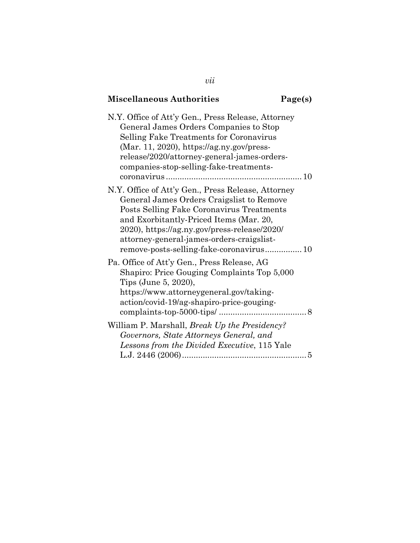# **Miscellaneous Authorities Page(s)**

| N.Y. Office of Att'y Gen., Press Release, Attorney<br>General James Orders Companies to Stop<br>Selling Fake Treatments for Coronavirus<br>$(Mar. 11, 2020)$ , https://ag.ny.gov/press-<br>release/2020/attorney-general-james-orders-<br>companies-stop-selling-fake-treatments-                                                |
|----------------------------------------------------------------------------------------------------------------------------------------------------------------------------------------------------------------------------------------------------------------------------------------------------------------------------------|
| N.Y. Office of Att'y Gen., Press Release, Attorney<br>General James Orders Craigslist to Remove<br>Posts Selling Fake Coronavirus Treatments<br>and Exorbitantly-Priced Items (Mar. 20,<br>2020), https://ag.ny.gov/press-release/2020/<br>attorney-general-james-orders-craigslist-<br>remove-posts-selling-fake-coronavirus 10 |
| Pa. Office of Att'y Gen., Press Release, AG<br>Shapiro: Price Gouging Complaints Top 5,000<br>Tips (June 5, 2020),<br>https://www.attorneygeneral.gov/taking-<br>action/covid-19/ag-shapiro-price-gouging-                                                                                                                       |
| William P. Marshall, Break Up the Presidency?<br>Governors, State Attorneys General, and<br>Lessons from the Divided Executive, 115 Yale                                                                                                                                                                                         |

*vii*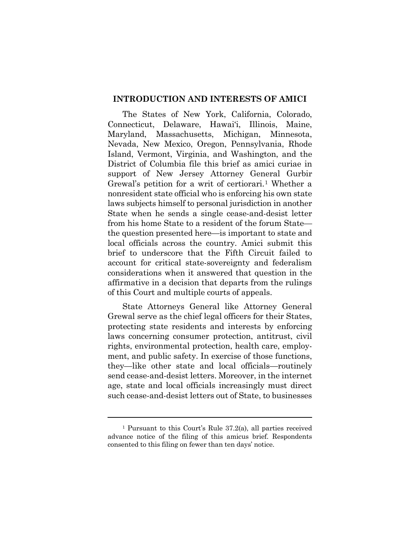#### <span id="page-8-0"></span>**INTRODUCTION AND INTERESTS OF AMICI**

The States of New York, California, Colorado, Connecticut, Delaware, Hawai'i, Illinois, Maine, Maryland, Massachusetts, Michigan, Minnesota, Nevada, New Mexico, Oregon, Pennsylvania, Rhode Island, Vermont, Virginia, and Washington, and the District of Columbia file this brief as amici curiae in support of New Jersey Attorney General Gurbir Grewal's petition for a writ of certiorari.<sup>[1](#page-8-1)</sup> Whether a nonresident state official who is enforcing his own state laws subjects himself to personal jurisdiction in another State when he sends a single cease-and-desist letter from his home State to a resident of the forum State the question presented here—is important to state and local officials across the country. Amici submit this brief to underscore that the Fifth Circuit failed to account for critical state-sovereignty and federalism considerations when it answered that question in the affirmative in a decision that departs from the rulings of this Court and multiple courts of appeals.

State Attorneys General like Attorney General Grewal serve as the chief legal officers for their States, protecting state residents and interests by enforcing laws concerning consumer protection, antitrust, civil rights, environmental protection, health care, employment, and public safety. In exercise of those functions, they—like other state and local officials—routinely send cease-and-desist letters. Moreover, in the internet age, state and local officials increasingly must direct such cease-and-desist letters out of State, to businesses

<span id="page-8-1"></span><sup>1</sup> Pursuant to this Court's Rule 37.2(a), all parties received advance notice of the filing of this amicus brief. Respondents consented to this filing on fewer than ten days' notice.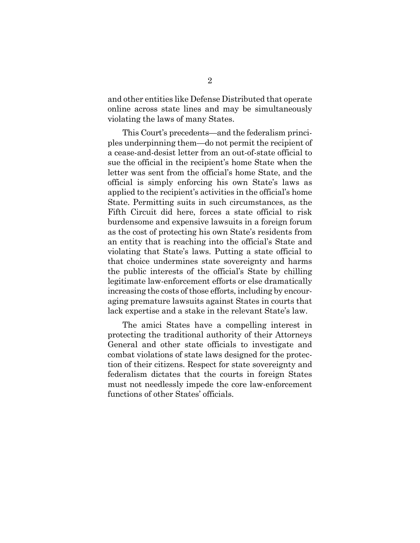and other entities like Defense Distributed that operate online across state lines and may be simultaneously violating the laws of many States.

This Court's precedents—and the federalism principles underpinning them—do not permit the recipient of a cease-and-desist letter from an out-of-state official to sue the official in the recipient's home State when the letter was sent from the official's home State, and the official is simply enforcing his own State's laws as applied to the recipient's activities in the official's home State. Permitting suits in such circumstances, as the Fifth Circuit did here, forces a state official to risk burdensome and expensive lawsuits in a foreign forum as the cost of protecting his own State's residents from an entity that is reaching into the official's State and violating that State's laws. Putting a state official to that choice undermines state sovereignty and harms the public interests of the official's State by chilling legitimate law-enforcement efforts or else dramatically increasing the costs of those efforts, including by encouraging premature lawsuits against States in courts that lack expertise and a stake in the relevant State's law.

The amici States have a compelling interest in protecting the traditional authority of their Attorneys General and other state officials to investigate and combat violations of state laws designed for the protection of their citizens. Respect for state sovereignty and federalism dictates that the courts in foreign States must not needlessly impede the core law-enforcement functions of other States' officials.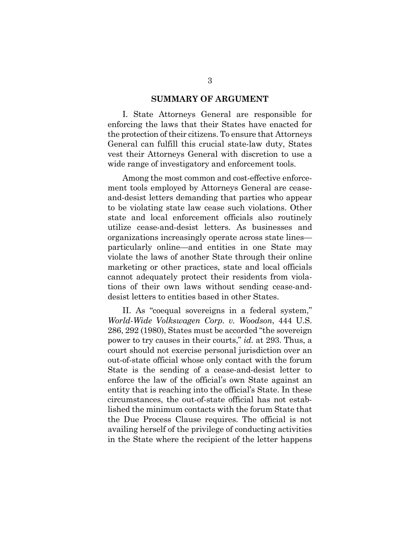#### **SUMMARY OF ARGUMENT**

<span id="page-10-0"></span>I. State Attorneys General are responsible for enforcing the laws that their States have enacted for the protection of their citizens. To ensure that Attorneys General can fulfill this crucial state-law duty, States vest their Attorneys General with discretion to use a wide range of investigatory and enforcement tools.

Among the most common and cost-effective enforcement tools employed by Attorneys General are ceaseand-desist letters demanding that parties who appear to be violating state law cease such violations. Other state and local enforcement officials also routinely utilize cease-and-desist letters. As businesses and organizations increasingly operate across state lines particularly online—and entities in one State may violate the laws of another State through their online marketing or other practices, state and local officials cannot adequately protect their residents from violations of their own laws without sending cease-anddesist letters to entities based in other States.

II. As "coequal sovereigns in a federal system," *World-Wide Volkswagen Corp. v. Woodson*, 444 U.S. 286, 292 (1980), States must be accorded "the sovereign power to try causes in their courts," *id.* at 293. Thus, a court should not exercise personal jurisdiction over an out-of-state official whose only contact with the forum State is the sending of a cease-and-desist letter to enforce the law of the official's own State against an entity that is reaching into the official's State. In these circumstances, the out-of-state official has not established the minimum contacts with the forum State that the Due Process Clause requires. The official is not availing herself of the privilege of conducting activities in the State where the recipient of the letter happens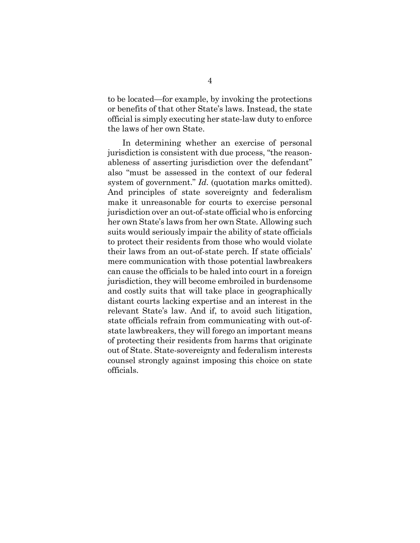to be located—for example, by invoking the protections or benefits of that other State's laws. Instead, the state official is simply executing her state-law duty to enforce the laws of her own State.

In determining whether an exercise of personal jurisdiction is consistent with due process, "the reasonableness of asserting jurisdiction over the defendant" also "must be assessed in the context of our federal system of government." *Id*. (quotation marks omitted). And principles of state sovereignty and federalism make it unreasonable for courts to exercise personal jurisdiction over an out-of-state official who is enforcing her own State's laws from her own State. Allowing such suits would seriously impair the ability of state officials to protect their residents from those who would violate their laws from an out-of-state perch. If state officials' mere communication with those potential lawbreakers can cause the officials to be haled into court in a foreign jurisdiction, they will become embroiled in burdensome and costly suits that will take place in geographically distant courts lacking expertise and an interest in the relevant State's law. And if, to avoid such litigation, state officials refrain from communicating with out-ofstate lawbreakers, they will forego an important means of protecting their residents from harms that originate out of State. State-sovereignty and federalism interests counsel strongly against imposing this choice on state officials.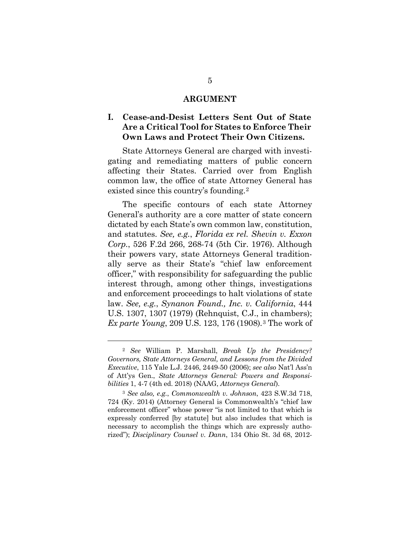#### **ARGUMENT**

### <span id="page-12-1"></span><span id="page-12-0"></span>**I. Cease-and-Desist Letters Sent Out of State Are a Critical Tool for States to Enforce Their Own Laws and Protect Their Own Citizens.**

State Attorneys General are charged with investigating and remediating matters of public concern affecting their States. Carried over from English common law, the office of state Attorney General has existed since this country's founding.[2](#page-12-2)

The specific contours of each state Attorney General's authority are a core matter of state concern dictated by each State's own common law, constitution, and statutes. *See, e.g.*, *Florida ex rel. Shevin v. Exxon Corp.*, 526 F.2d 266, 268-74 (5th Cir. 1976). Although their powers vary, state Attorneys General traditionally serve as their State's "chief law enforcement officer," with responsibility for safeguarding the public interest through, among other things, investigations and enforcement proceedings to halt violations of state law. *See, e.g.*, *Synanon Found., Inc. v. California*, 444 U.S. 1307, 1307 (1979) (Rehnquist, C.J., in chambers); *Ex parte Young*, 209 U.S. 123, 176 (1908)*.*[3](#page-12-3) The work of

<span id="page-12-2"></span><sup>2</sup> *See* William P. Marshall, *Break Up the Presidency? Governors, State Attorneys General, and Lessons from the Divided Executive*, 115 Yale L.J. 2446, 2449-50 (2006); *see also* Nat'l Ass'n of Att'ys Gen., *State Attorneys General: Powers and Responsibilities* 1, 4-7 (4th ed. 2018) (NAAG, *Attorneys General*).

<span id="page-12-3"></span><sup>3</sup> *See also, e.g.*, *Commonwealth v. Johnson*, 423 S.W.3d 718, 724 (Ky. 2014) (Attorney General is Commonwealth's "chief law enforcement officer" whose power "is not limited to that which is expressly conferred [by statute] but also includes that which is necessary to accomplish the things which are expressly authorized"); *Disciplinary Counsel v. Dann*, 134 Ohio St. 3d 68, 2012-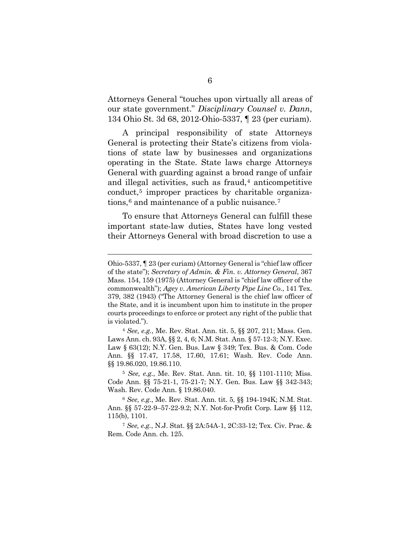Attorneys General "touches upon virtually all areas of our state government." *Disciplinary Counsel v. Dann*, 134 Ohio St. 3d 68, 2012-Ohio-5337, ¶ 23 (per curiam).

A principal responsibility of state Attorneys General is protecting their State's citizens from violations of state law by businesses and organizations operating in the State. State laws charge Attorneys General with guarding against a broad range of unfair and illegal activities, such as fraud,<sup>[4](#page-13-0)</sup> anticompetitive conduct,<sup>[5](#page-13-1)</sup> improper practices by charitable organizations, $6$  and maintenance of a public nuisance.<sup>[7](#page-13-3)</sup>

To ensure that Attorneys General can fulfill these important state-law duties, States have long vested their Attorneys General with broad discretion to use a

l

Ohio-5337, ¶ 23 (per curiam) (Attorney General is "chief law officer of the state"); *Secretary of Admin. & Fin. v. Attorney General*, 367 Mass. 154, 159 (1975) (Attorney General is "chief law officer of the commonwealth"); *Agey v. American Liberty Pipe Line Co.*, 141 Tex. 379, 382 (1943) ("The Attorney General is the chief law officer of the State, and it is incumbent upon him to institute in the proper courts proceedings to enforce or protect any right of the public that is violated.").

<span id="page-13-0"></span><sup>4</sup> *See, e.g.*, Me. Rev. Stat. Ann. tit. 5, §§ 207, 211; Mass. Gen. Laws Ann. ch. 93A, §§ 2, 4, 6; N.M. Stat. Ann. § 57-12-3; N.Y. Exec. Law § 63(12); N.Y. Gen. Bus. Law § 349; Tex. Bus. & Com. Code Ann. §§ 17.47, 17.58, 17.60, 17.61; Wash. Rev. Code Ann. §§ 19.86.020, 19.86.110.

<span id="page-13-1"></span><sup>5</sup> *See, e.g.*, Me. Rev. Stat. Ann. tit. 10, §§ 1101-1110; Miss. Code Ann. §§ 75-21-1, 75-21-7; N.Y. Gen. Bus. Law §§ 342-343; Wash. Rev. Code Ann. § 19.86.040.

<span id="page-13-2"></span><sup>6</sup> *See, e.g.*, Me. Rev. Stat. Ann. tit. 5, §§ 194-194K; N.M. Stat. Ann. §§ 57-22-9–57-22-9.2; N.Y. Not-for-Profit Corp. Law §§ 112, 115(b), 1101.

<span id="page-13-3"></span><sup>7</sup> *See, e.g.*, N.J. Stat. §§ 2A:54A-1, 2C:33-12; Tex. Civ. Prac. & Rem. Code Ann. ch. 125.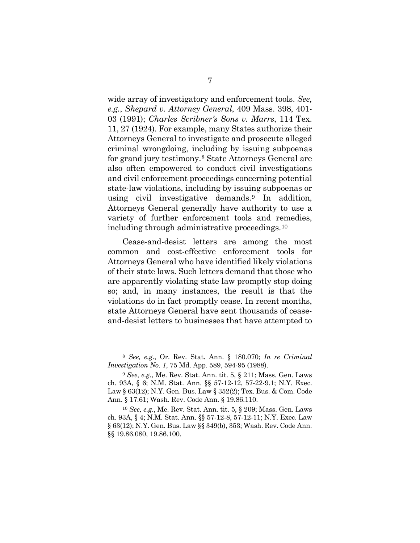wide array of investigatory and enforcement tools. *See, e.g.*, *Shepard v. Attorney General*, 409 Mass. 398, 401- 03 (1991); *Charles Scribner's Sons v. Marrs*, 114 Tex. 11, 27 (1924). For example, many States authorize their Attorneys General to investigate and prosecute alleged criminal wrongdoing, including by issuing subpoenas for grand jury testimony.[8](#page-14-0) State Attorneys General are also often empowered to conduct civil investigations and civil enforcement proceedings concerning potential state-law violations, including by issuing subpoenas or using civil investigative demands.[9](#page-14-1) In addition, Attorneys General generally have authority to use a variety of further enforcement tools and remedies, including through administrative proceedings.[10](#page-14-2)

Cease-and-desist letters are among the most common and cost-effective enforcement tools for Attorneys General who have identified likely violations of their state laws. Such letters demand that those who are apparently violating state law promptly stop doing so; and, in many instances, the result is that the violations do in fact promptly cease. In recent months, state Attorneys General have sent thousands of ceaseand-desist letters to businesses that have attempted to

<span id="page-14-0"></span><sup>8</sup> *See, e.g.*, Or. Rev. Stat. Ann. § 180.070; *In re Criminal Investigation No. 1*, 75 Md. App. 589, 594-95 (1988).

<span id="page-14-1"></span><sup>9</sup> *See, e.g.*, Me. Rev. Stat. Ann. tit. 5, § 211; Mass. Gen. Laws ch. 93A, § 6; N.M. Stat. Ann. §§ 57-12-12, 57-22-9.1; N.Y. Exec. Law § 63(12); N.Y. Gen. Bus. Law § 352(2); Tex. Bus. & Com. Code Ann. § 17.61; Wash. Rev. Code Ann. § 19.86.110.

<span id="page-14-2"></span><sup>10</sup> *See, e.g.*, Me. Rev. Stat. Ann. tit. 5, § 209; Mass. Gen. Laws ch. 93A, § 4; N.M. Stat. Ann. §§ 57-12-8, 57-12-11; N.Y. Exec. Law § 63(12); N.Y. Gen. Bus. Law §§ 349(b), 353; Wash. Rev. Code Ann. §§ 19.86.080, 19.86.100.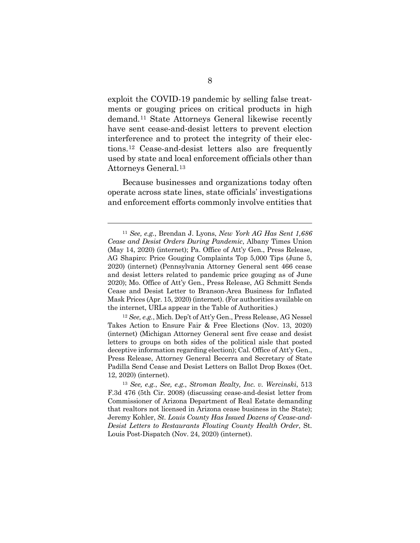exploit the COVID-19 pandemic by selling false treatments or gouging prices on critical products in high demand.[11](#page-15-0) State Attorneys General likewise recently have sent cease-and-desist letters to prevent election interference and to protect the integrity of their elections.[12](#page-15-1) Cease-and-desist letters also are frequently used by state and local enforcement officials other than Attorneys General.[13](#page-15-2)

Because businesses and organizations today often operate across state lines, state officials' investigations and enforcement efforts commonly involve entities that

 $\overline{a}$ 

<span id="page-15-1"></span><sup>12</sup> *See, e.g.*, Mich. Dep't of Att'y Gen., Press Release, AG Nessel Takes Action to Ensure Fair & Free Elections (Nov. 13, 2020) [\(internet\)](https://www.michigan.gov/ag/0,4534,7-359-92297_47203-545014--,00.html) (Michigan Attorney General sent five cease and desist letters to groups on both sides of the political aisle that posted deceptive information regarding election); Cal. Office of Att'y Gen., Press Release, Attorney General Becerra and Secretary of State Padilla Send Cease and Desist Letters on Ballot Drop Boxes (Oct. 12, 2020) [\(internet\)](https://oag.ca.gov/news/press-releases/attorney-general-becerra-and-secretary-state-padilla-send-cease-and-desist).

<span id="page-15-2"></span><sup>13</sup> *See, e.g.*, *See, e.g.*, *Stroman Realty, Inc. v. Wercinski*, 513 F.3d 476 (5th Cir. 2008) (discussing cease-and-desist letter from Commissioner of Arizona Department of Real Estate demanding that realtors not licensed in Arizona cease business in the State); Jeremy Kohler, *St. Louis County Has Issued Dozens of Cease-and-Desist Letters to Restaurants Flouting County Health Order*, St. Louis Post-Dispatch (Nov. 24, 2020) [\(internet\)](https://www.stltoday.com/news/local/govt-and-politics/st-louis-county-has-issued-dozens-of-cease-and-desist-letters-to-restaurants-flouting-county/article_22f42cfa-a849-5ae5-b727-e0baf6419e2b.html).

<span id="page-15-0"></span><sup>11</sup> *See, e.g.*, Brendan J. Lyons, *New York AG Has Sent 1,686 Cease and Desist Orders During Pandemic*, Albany Times Union (May 14, 2020) [\(internet\)](https://www.timesunion.com/news/article/New-York-AG-has-sent-1-686-cease-and-desist-15270000.php); Pa. Office of Att'y Gen., Press Release, AG Shapiro: Price Gouging Complaints Top 5,000 Tips (June 5, 2020) [\(internet\)](https://www.attorneygeneral.gov/taking-action/covid-19/ag-shapiro-price-gouging-complaints-top-5000-tips/) (Pennsylvania Attorney General sent 466 cease and desist letters related to pandemic price gouging as of June 2020); Mo. Office of Att'y Gen., Press Release, AG Schmitt Sends Cease and Desist Letter to Branson-Area Business for Inflated Mask Prices (Apr. 15, 2020) [\(internet\)](https://ago.mo.gov/home/news/2020/04/15/ag-schmitt-sends-cease-and-desist-letter-to-branson-area-business-for-inflated-mask-prices). (For authorities available on the internet, URLs appear in the Table of Authorities.)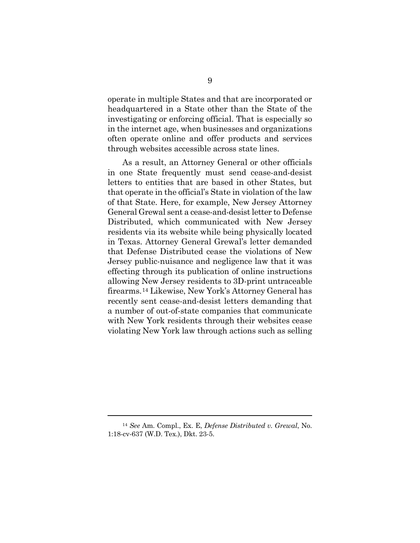operate in multiple States and that are incorporated or headquartered in a State other than the State of the investigating or enforcing official. That is especially so in the internet age, when businesses and organizations often operate online and offer products and services through websites accessible across state lines.

As a result, an Attorney General or other officials in one State frequently must send cease-and-desist letters to entities that are based in other States, but that operate in the official's State in violation of the law of that State. Here, for example, New Jersey Attorney General Grewal sent a cease-and-desist letter to Defense Distributed, which communicated with New Jersey residents via its website while being physically located in Texas. Attorney General Grewal's letter demanded that Defense Distributed cease the violations of New Jersey public-nuisance and negligence law that it was effecting through its publication of online instructions allowing New Jersey residents to 3D-print untraceable firearms.[14](#page-16-0) Likewise, New York's Attorney General has recently sent cease-and-desist letters demanding that a number of out-of-state companies that communicate with New York residents through their websites cease violating New York law through actions such as selling

<span id="page-16-0"></span><sup>14</sup> *See* Am. Compl., Ex. E, *Defense Distributed v. Grewal*, No. 1:18-cv-637 (W.D. Tex.), Dkt. 23-5.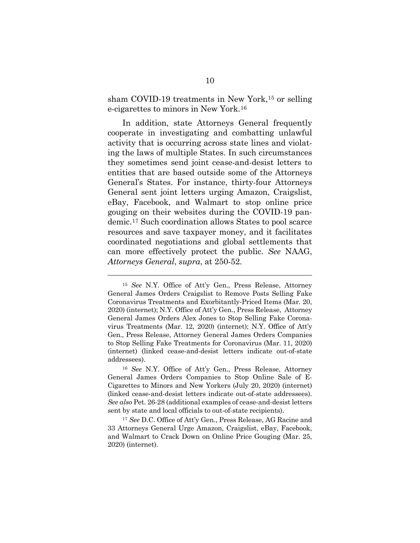sham COVID-19 treatments in New York,<sup>[15](#page-17-0)</sup> or selling e-cigarettes to minors in New York.[16](#page-17-1)

In addition, state Attorneys General frequently cooperate in investigating and combatting unlawful activity that is occurring across state lines and violating the laws of multiple States. In such circumstances they sometimes send joint cease-and-desist letters to entities that are based outside some of the Attorneys General's States. For instance, thirty-four Attorneys General sent joint letters urging Amazon, Craigslist, eBay, Facebook, and Walmart to stop online price gouging on their websites during the COVID-19 pandemic.[17](#page-17-2) Such coordination allows States to pool scarce resources and save taxpayer money, and it facilitates coordinated negotiations and global settlements that can more effectively protect the public. *See* NAAG, *Attorneys General*, *supra*, at 250-52.

<span id="page-17-0"></span><sup>15</sup> *See* N.Y. Office of Att'y Gen., Press Release, Attorney General James Orders Craigslist to Remove Posts Selling Fake Coronavirus Treatments and Exorbitantly-Priced Items (Mar. 20, 2020) [\(internet\)](https://ag.ny.gov/press-release/2020/attorney-general-james-orders-craigslist-remove-posts-selling-fake-coronavirus); N.Y. Office of Att'y Gen., Press Release, Attorney General James Orders Alex Jones to Stop Selling Fake Coronavirus Treatments (Mar. 12, 2020) [\(internet\)](https://ag.ny.gov/press-release/2020/attorney-general-james-orders-alex-jones-stop-selling-fake-coronavirus-treatments); N.Y. Office of Att'y Gen., Press Release, Attorney General James Orders Companies to Stop Selling Fake Treatments for Coronavirus (Mar. 11, 2020) [\(internet\)](https://ag.ny.gov/press-release/2020/attorney-general-james-orders-companies-stop-selling-fake-treatments-coronavirus) (linked cease-and-desist letters indicate out-of-state addressees).

<span id="page-17-1"></span><sup>16</sup> *See* N.Y. Office of Att'y Gen., Press Release, Attorney General James Orders Companies to Stop Online Sale of E-Cigarettes to Minors and New Yorkers (July 20, 2020) [\(internet\)](https://ag.ny.gov/press-release/2020/attorney-general-james-orders-companies-stop-online-sale-e-cigarettes-minors-and) (linked cease-and-desist letters indicate out-of-state addressees). *See also* Pet. 26-28 (additional examples of cease-and-desist letters sent by state and local officials to out-of-state recipients).

<span id="page-17-2"></span><sup>17</sup> *See* D.C. Office of Att'y Gen., Press Release, AG Racine and 33 Attorneys General Urge Amazon, Craigslist, eBay, Facebook, and Walmart to Crack Down on Online Price Gouging (Mar. 25, 2020) [\(internet\)](https://oag.dc.gov/release/ag-racine-and-33-attorneys-general-urge-amazon).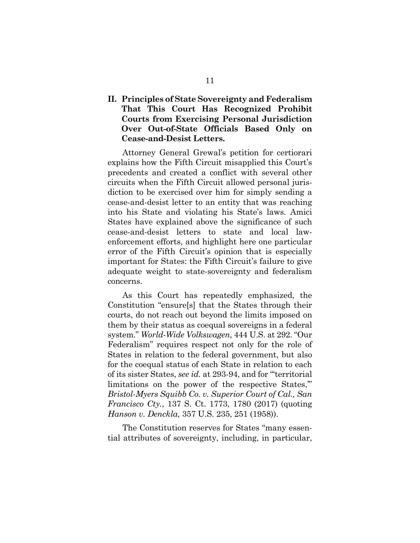### <span id="page-18-0"></span>**II. Principles of State Sovereignty and Federalism That This Court Has Recognized Prohibit Courts from Exercising Personal Jurisdiction Over Out-of-State Officials Based Only on Cease-and-Desist Letters.**

Attorney General Grewal's petition for certiorari explains how the Fifth Circuit misapplied this Court's precedents and created a conflict with several other circuits when the Fifth Circuit allowed personal jurisdiction to be exercised over him for simply sending a cease-and-desist letter to an entity that was reaching into his State and violating his State's laws. Amici States have explained above the significance of such cease-and-desist letters to state and local lawenforcement efforts, and highlight here one particular error of the Fifth Circuit's opinion that is especially important for States: the Fifth Circuit's failure to give adequate weight to state-sovereignty and federalism concerns.

As this Court has repeatedly emphasized, the Constitution "ensure[s] that the States through their courts, do not reach out beyond the limits imposed on them by their status as coequal sovereigns in a federal system." *World-Wide Volkswagen*, 444 U.S. at 292. "Our Federalism" requires respect not only for the role of States in relation to the federal government, but also for the coequal status of each State in relation to each of its sister States, *see id.* at 293-94, and for "'territorial limitations on the power of the respective States," *Bristol-Myers Squibb Co. v. Superior Court of Cal., San Francisco Cty.*, 137 S. Ct. 1773, 1780 (2017) (quoting *Hanson v. Denckla,* 357 U.S. 235, 251 (1958)).

The Constitution reserves for States "many essential attributes of sovereignty, including, in particular,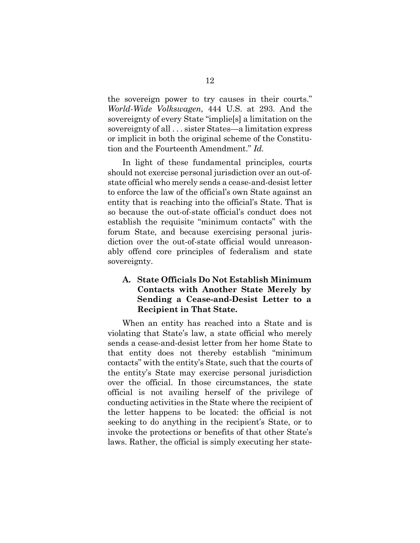the sovereign power to try causes in their courts." *World-Wide Volkswagen*, 444 U.S. at 293. And the sovereignty of every State "implie[s] a limitation on the sovereignty of all . . . sister States—a limitation express or implicit in both the original scheme of the Constitution and the Fourteenth Amendment." *Id.* 

In light of these fundamental principles, courts should not exercise personal jurisdiction over an out-ofstate official who merely sends a cease-and-desist letter to enforce the law of the official's own State against an entity that is reaching into the official's State. That is so because the out-of-state official's conduct does not establish the requisite "minimum contacts" with the forum State, and because exercising personal jurisdiction over the out-of-state official would unreasonably offend core principles of federalism and state sovereignty.

### <span id="page-19-0"></span>**A. State Officials Do Not Establish Minimum Contacts with Another State Merely by Sending a Cease-and-Desist Letter to a Recipient in That State.**

When an entity has reached into a State and is violating that State's law, a state official who merely sends a cease-and-desist letter from her home State to that entity does not thereby establish "minimum contacts" with the entity's State, such that the courts of the entity's State may exercise personal jurisdiction over the official. In those circumstances, the state official is not availing herself of the privilege of conducting activities in the State where the recipient of the letter happens to be located: the official is not seeking to do anything in the recipient's State, or to invoke the protections or benefits of that other State's laws. Rather, the official is simply executing her state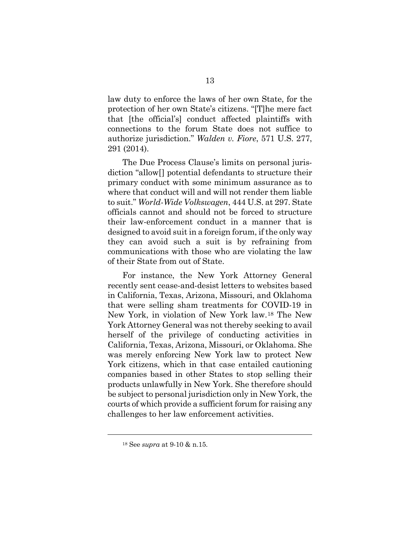law duty to enforce the laws of her own State, for the protection of her own State's citizens. "[T]he mere fact that [the official's] conduct affected plaintiffs with connections to the forum State does not suffice to authorize jurisdiction." *Walden v. Fiore*, 571 U.S. 277, 291 (2014).

The Due Process Clause's limits on personal jurisdiction "allow[] potential defendants to structure their primary conduct with some minimum assurance as to where that conduct will and will not render them liable to suit." *World-Wide Volkswagen*, 444 U.S. at 297. State officials cannot and should not be forced to structure their law-enforcement conduct in a manner that is designed to avoid suit in a foreign forum, if the only way they can avoid such a suit is by refraining from communications with those who are violating the law of their State from out of State.

For instance, the New York Attorney General recently sent cease-and-desist letters to websites based in California, Texas, Arizona, Missouri, and Oklahoma that were selling sham treatments for COVID-19 in New York, in violation of New York law.[18](#page-20-0) The New York Attorney General was not thereby seeking to avail herself of the privilege of conducting activities in California, Texas, Arizona, Missouri, or Oklahoma. She was merely enforcing New York law to protect New York citizens, which in that case entailed cautioning companies based in other States to stop selling their products unlawfully in New York. She therefore should be subject to personal jurisdiction only in New York, the courts of which provide a sufficient forum for raising any challenges to her law enforcement activities.

<span id="page-20-0"></span><sup>18</sup> See *supra* at 9-10 & n.15.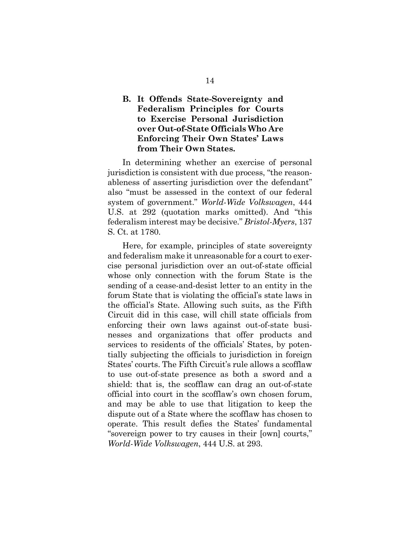### <span id="page-21-0"></span>**B. It Offends State-Sovereignty and Federalism Principles for Courts to Exercise Personal Jurisdiction over Out-of-State Officials Who Are Enforcing Their Own States' Laws from Their Own States.**

In determining whether an exercise of personal jurisdiction is consistent with due process, "the reasonableness of asserting jurisdiction over the defendant" also "must be assessed in the context of our federal system of government." *World-Wide Volkswagen*, 444 U.S. at 292 (quotation marks omitted). And "this federalism interest may be decisive." *Bristol-Myers*, 137 S. Ct. at 1780.

Here, for example, principles of state sovereignty and federalism make it unreasonable for a court to exercise personal jurisdiction over an out-of-state official whose only connection with the forum State is the sending of a cease-and-desist letter to an entity in the forum State that is violating the official's state laws in the official's State. Allowing such suits, as the Fifth Circuit did in this case, will chill state officials from enforcing their own laws against out-of-state businesses and organizations that offer products and services to residents of the officials' States, by potentially subjecting the officials to jurisdiction in foreign States' courts. The Fifth Circuit's rule allows a scofflaw to use out-of-state presence as both a sword and a shield: that is, the scofflaw can drag an out-of-state official into court in the scofflaw's own chosen forum, and may be able to use that litigation to keep the dispute out of a State where the scofflaw has chosen to operate. This result defies the States' fundamental "sovereign power to try causes in their [own] courts," *World-Wide Volkswagen*, 444 U.S. at 293.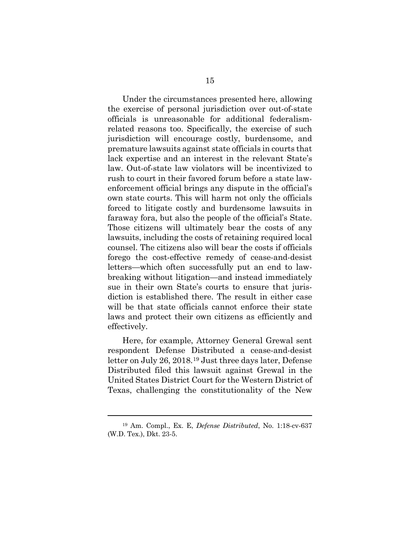Under the circumstances presented here, allowing the exercise of personal jurisdiction over out-of-state officials is unreasonable for additional federalismrelated reasons too. Specifically, the exercise of such jurisdiction will encourage costly, burdensome, and premature lawsuits against state officials in courts that lack expertise and an interest in the relevant State's law. Out-of-state law violators will be incentivized to rush to court in their favored forum before a state lawenforcement official brings any dispute in the official's own state courts. This will harm not only the officials forced to litigate costly and burdensome lawsuits in faraway fora, but also the people of the official's State. Those citizens will ultimately bear the costs of any lawsuits, including the costs of retaining required local counsel. The citizens also will bear the costs if officials forego the cost-effective remedy of cease-and-desist letters—which often successfully put an end to lawbreaking without litigation—and instead immediately sue in their own State's courts to ensure that jurisdiction is established there. The result in either case will be that state officials cannot enforce their state laws and protect their own citizens as efficiently and effectively.

Here, for example, Attorney General Grewal sent respondent Defense Distributed a cease-and-desist letter on July 26, 2018.[19](#page-22-0) Just three days later, Defense Distributed filed this lawsuit against Grewal in the United States District Court for the Western District of Texas, challenging the constitutionality of the New

<span id="page-22-0"></span><sup>19</sup> Am. Compl., Ex. E, *Defense Distributed*, No. 1:18-cv-637 (W.D. Tex.), Dkt. 23-5.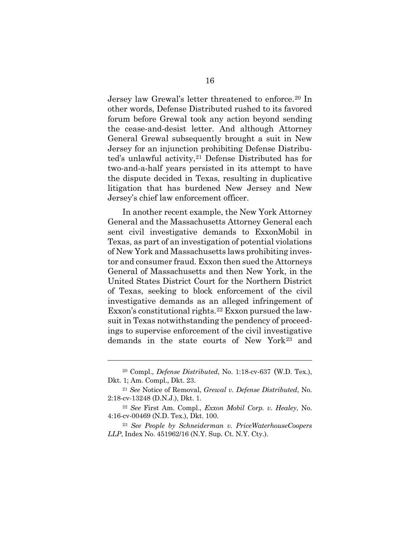Jersey law Grewal's letter threatened to enforce.[20](#page-23-0) In other words, Defense Distributed rushed to its favored forum before Grewal took any action beyond sending the cease-and-desist letter. And although Attorney General Grewal subsequently brought a suit in New Jersey for an injunction prohibiting Defense Distributed's unlawful activity,<sup>21</sup> Defense Distributed has for two-and-a-half years persisted in its attempt to have the dispute decided in Texas, resulting in duplicative litigation that has burdened New Jersey and New Jersey's chief law enforcement officer.

In another recent example, the New York Attorney General and the Massachusetts Attorney General each sent civil investigative demands to ExxonMobil in Texas, as part of an investigation of potential violations of New York and Massachusetts laws prohibiting investor and consumer fraud. Exxon then sued the Attorneys General of Massachusetts and then New York, in the United States District Court for the Northern District of Texas, seeking to block enforcement of the civil investigative demands as an alleged infringement of Exxon's constitutional rights.[22](#page-23-2) Exxon pursued the lawsuit in Texas notwithstanding the pendency of proceedings to supervise enforcement of the civil investigative demands in the state courts of New York[23](#page-23-3) and

l

<span id="page-23-0"></span><sup>20</sup> Compl., *Defense Distributed*, No. 1:18-cv-637 (W.D. Tex.), Dkt. 1; Am. Compl., Dkt. 23.

<span id="page-23-1"></span><sup>21</sup> *See* Notice of Removal, *Grewal v. Defense Distributed*, No. 2:18-cv-13248 (D.N.J.), Dkt. 1.

<span id="page-23-2"></span><sup>22</sup> *See* First Am. Compl., *Exxon Mobil Corp. v. Healey*, No. 4:16-cv-00469 (N.D. Tex.), Dkt. 100.

<span id="page-23-3"></span><sup>23</sup> *See People by Schneiderman v. PriceWaterhouseCoopers LLP*, Index No. 451962/16 (N.Y. Sup. Ct. N.Y. Cty.).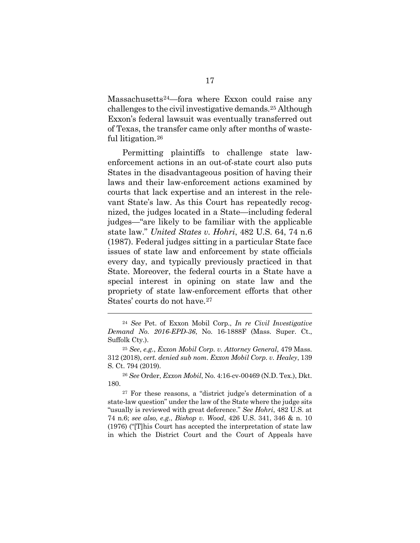Massachusetts[24](#page-24-0)—fora where Exxon could raise any challenges to the civil investigative demands.[25](#page-24-1) Although Exxon's federal lawsuit was eventually transferred out of Texas, the transfer came only after months of wasteful litigation.[26](#page-24-2) 

Permitting plaintiffs to challenge state lawenforcement actions in an out-of-state court also puts States in the disadvantageous position of having their laws and their law-enforcement actions examined by courts that lack expertise and an interest in the relevant State's law. As this Court has repeatedly recognized, the judges located in a State—including federal judges—"are likely to be familiar with the applicable state law." *United States v. Hohri*, 482 U.S. 64, 74 n.6 (1987). Federal judges sitting in a particular State face issues of state law and enforcement by state officials every day, and typically previously practiced in that State. Moreover, the federal courts in a State have a special interest in opining on state law and the propriety of state law-enforcement efforts that other States' courts do not have.<sup>[27](#page-24-3)</sup>

<span id="page-24-0"></span><sup>24</sup> *See* Pet. of Exxon Mobil Corp., *In re Civil Investigative Demand No. 2016-EPD-36*, No. 16-1888F (Mass. Super. Ct., Suffolk Cty.).

<span id="page-24-1"></span><sup>25</sup> *See*, *e.g.*, *Exxon Mobil Corp. v. Attorney General*, 479 Mass. 312 (2018), *cert. denied sub nom*. *Exxon Mobil Corp. v. Healey*, 139 S. Ct. 794 (2019).

<span id="page-24-2"></span><sup>26</sup> *See* Order, *Exxon Mobil*, No. 4:16-cv-00469 (N.D. Tex.), Dkt. 180.

<span id="page-24-3"></span><sup>27</sup> For these reasons, a "district judge's determination of a state-law question" under the law of the State where the judge sits "usually is reviewed with great deference." *See Hohri*, 482 U.S. at 74 n.6; *see also, e.g.*, *Bishop v. Wood*, 426 U.S. 341, 346 & n. 10 (1976) ("[T]his Court has accepted the interpretation of state law in which the District Court and the Court of Appeals have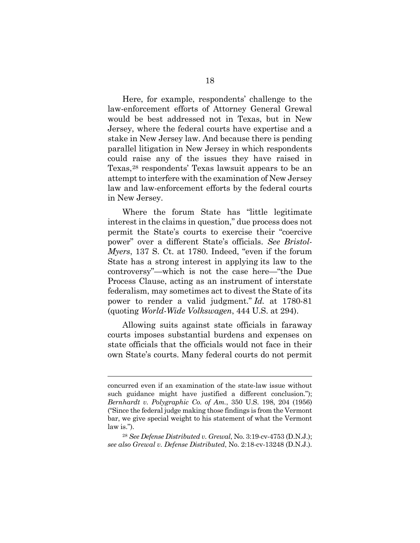Here, for example, respondents' challenge to the law-enforcement efforts of Attorney General Grewal would be best addressed not in Texas, but in New Jersey, where the federal courts have expertise and a stake in New Jersey law. And because there is pending parallel litigation in New Jersey in which respondents could raise any of the issues they have raised in Texas,[28](#page-25-0) respondents' Texas lawsuit appears to be an attempt to interfere with the examination of New Jersey law and law-enforcement efforts by the federal courts in New Jersey.

Where the forum State has "little legitimate interest in the claims in question," due process does not permit the State's courts to exercise their "coercive power" over a different State's officials. *See Bristol-Myers*, 137 S. Ct. at 1780. Indeed, "even if the forum State has a strong interest in applying its law to the controversy"—which is not the case here—"the Due Process Clause, acting as an instrument of interstate federalism, may sometimes act to divest the State of its power to render a valid judgment." *Id.* at 1780-81 (quoting *World-Wide Volkswagen*, 444 U.S. at 294).

Allowing suits against state officials in faraway courts imposes substantial burdens and expenses on state officials that the officials would not face in their own State's courts. Many federal courts do not permit

concurred even if an examination of the state-law issue without such guidance might have justified a different conclusion."); *Bernhardt v. Polygraphic Co. of Am.*, 350 U.S. 198, 204 (1956) ("Since the federal judge making those findings is from the Vermont bar, we give special weight to his statement of what the Vermont law is.").

<span id="page-25-0"></span><sup>28</sup> *See Defense Distributed v. Grewal*, No. 3:19-cv-4753 (D.N.J.); *see also Grewal v. Defense Distributed*, No. 2:18-cv-13248 (D.N.J.).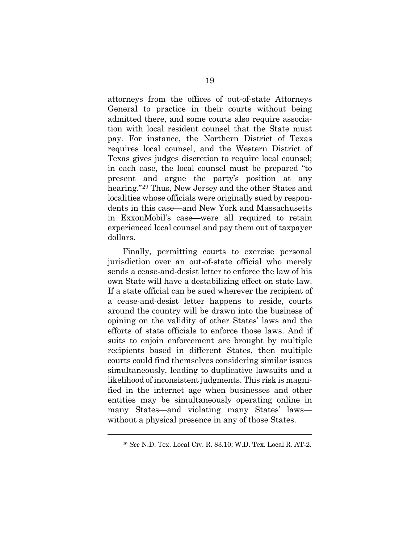attorneys from the offices of out-of-state Attorneys General to practice in their courts without being admitted there, and some courts also require association with local resident counsel that the State must pay. For instance, the Northern District of Texas requires local counsel, and the Western District of Texas gives judges discretion to require local counsel; in each case, the local counsel must be prepared "to present and argue the party's position at any hearing."[29](#page-26-0) Thus, New Jersey and the other States and localities whose officials were originally sued by respondents in this case—and New York and Massachusetts in ExxonMobil's case—were all required to retain experienced local counsel and pay them out of taxpayer dollars.

Finally, permitting courts to exercise personal jurisdiction over an out-of-state official who merely sends a cease-and-desist letter to enforce the law of his own State will have a destabilizing effect on state law. If a state official can be sued wherever the recipient of a cease-and-desist letter happens to reside, courts around the country will be drawn into the business of opining on the validity of other States' laws and the efforts of state officials to enforce those laws. And if suits to enjoin enforcement are brought by multiple recipients based in different States, then multiple courts could find themselves considering similar issues simultaneously, leading to duplicative lawsuits and a likelihood of inconsistent judgments. This risk is magnified in the internet age when businesses and other entities may be simultaneously operating online in many States—and violating many States' laws without a physical presence in any of those States.

<span id="page-26-0"></span><sup>29</sup> *See* N.D. Tex. Local Civ. R. 83.10; W.D. Tex. Local R. AT-2.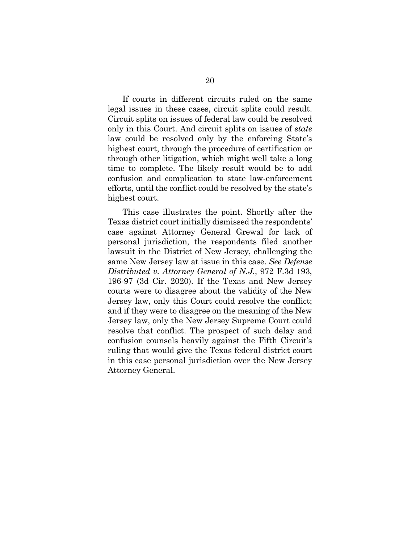If courts in different circuits ruled on the same legal issues in these cases, circuit splits could result. Circuit splits on issues of federal law could be resolved only in this Court. And circuit splits on issues of *state* law could be resolved only by the enforcing State's highest court, through the procedure of certification or through other litigation, which might well take a long time to complete. The likely result would be to add confusion and complication to state law-enforcement efforts, until the conflict could be resolved by the state's highest court.

This case illustrates the point. Shortly after the Texas district court initially dismissed the respondents' case against Attorney General Grewal for lack of personal jurisdiction, the respondents filed another lawsuit in the District of New Jersey, challenging the same New Jersey law at issue in this case. *See Defense Distributed v. Attorney General of N.J.*, 972 F.3d 193, 196-97 (3d Cir. 2020). If the Texas and New Jersey courts were to disagree about the validity of the New Jersey law, only this Court could resolve the conflict; and if they were to disagree on the meaning of the New Jersey law, only the New Jersey Supreme Court could resolve that conflict. The prospect of such delay and confusion counsels heavily against the Fifth Circuit's ruling that would give the Texas federal district court in this case personal jurisdiction over the New Jersey Attorney General.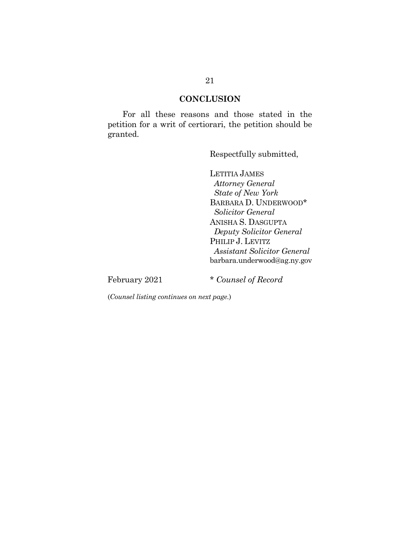#### **CONCLUSION**

<span id="page-28-0"></span>For all these reasons and those stated in the petition for a writ of certiorari, the petition should be granted.

Respectfully submitted,

LETITIA JAMES  *Attorney General State of New York* BARBARA D. UNDERWOOD\* *Solicitor General* ANISHA S. DASGUPTA *Deputy Solicitor General* PHILIP J. LEVITZ *Assistant Solicitor General*  barbara.underwood@ag.ny.gov

February 2021 \* *Counsel of Record*

(*Counsel listing continues on next page.*)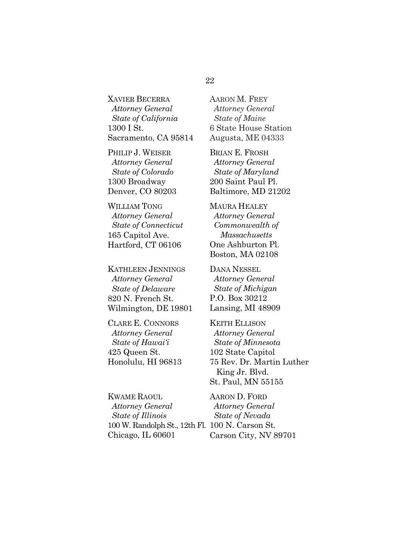### 22

XAVIER BECERRA  *Attorney General State of California* 1300 I St. Sacramento, CA 95814

PHILIP J. WEISER  *Attorney General State of Colorado* 1300 Broadway Denver, CO 80203

WILLIAM TONG  *Attorney General State of Connecticut* 165 Capitol Ave. Hartford, CT 06106

KATHLEEN JENNINGS  *Attorney General State of Delaware* 820 N. French St. Wilmington, DE 19801

CLARE E. CONNORS  *Attorney General State of Hawai'i*  425 Queen St. Honolulu, HI 96813

KWAME RAOUL  *Attorney General State of Illinois* 100 W. Randolph St., 12th Fl. 100 N. Carson St. Chicago, IL 60601

AARON M. FREY  *Attorney General State of Maine* 6 State House Station Augusta, ME 04333

BRIAN E. FROSH  *Attorney General State of Maryland* 200 Saint Paul Pl. Baltimore, MD 21202

MAURA HEALEY  *Attorney General Commonwealth of Massachusetts*  One Ashburton Pl. Boston, MA 02108

DANA NESSEL  *Attorney General State of Michigan* P.O. Box 30212 Lansing, MI 48909

KEITH ELLISON  *Attorney General State of Minnesota* 102 State Capitol 75 Rev. Dr. Martin Luther King Jr. Blvd. St. Paul, MN 55155

AARON D. FORD  *Attorney General State of Nevada* Carson City, NV 89701